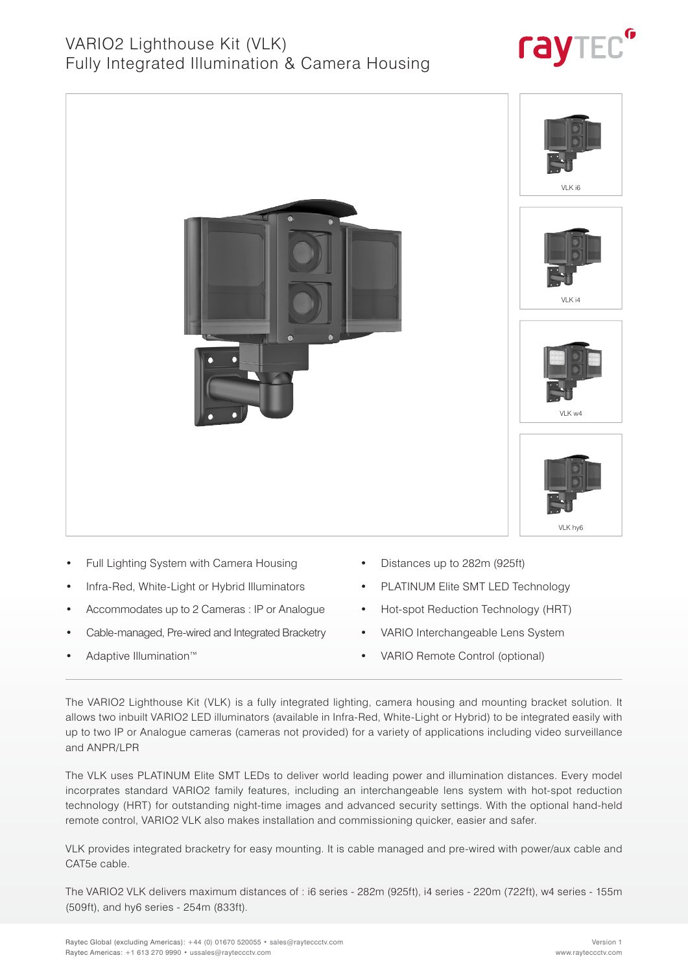



- Full Lighting System with Camera Housing
- Infra-Red, White-Light or Hybrid Illuminators
- Accommodates up to 2 Cameras : IP or Analogue
- Cable-managed, Pre-wired and Integrated Bracketry
- Adaptive Illumination™
- Distances up to 282m (925ft)
- PLATINUM Elite SMT LED Technology
- Hot-spot Reduction Technology (HRT)
- VARIO Interchangeable Lens System
- VARIO Remote Control (optional)

The VARIO2 Lighthouse Kit (VLK) is a fully integrated lighting, camera housing and mounting bracket solution. It allows two inbuilt VARIO2 LED illuminators (available in Infra-Red, White-Light or Hybrid) to be integrated easily with up to two IP or Analogue cameras (cameras not provided) for a variety of applications including video surveillance and ANPR/LPR

The VLK uses PLATINUM Elite SMT LEDs to deliver world leading power and illumination distances. Every model incorprates standard VARIO2 family features, including an interchangeable lens system with hot-spot reduction technology (HRT) for outstanding night-time images and advanced security settings. With the optional hand-held remote control, VARIO2 VLK also makes installation and commissioning quicker, easier and safer.

VLK provides integrated bracketry for easy mounting. It is cable managed and pre-wired with power/aux cable and CAT5e cable.

The VARIO2 VLK delivers maximum distances of : i6 series - 282m (925ft), i4 series - 220m (722ft), w4 series - 155m (509ft), and hy6 series - 254m (833ft).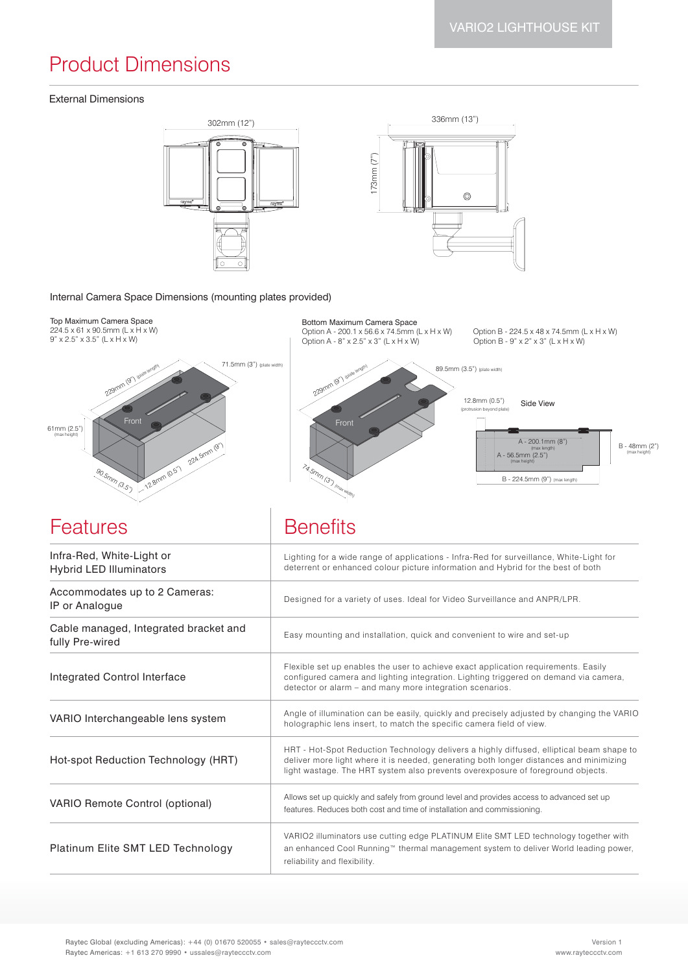# Product Dimensions

#### External Dimensions





#### Internal Camera Space Dimensions (mounting plates provided)

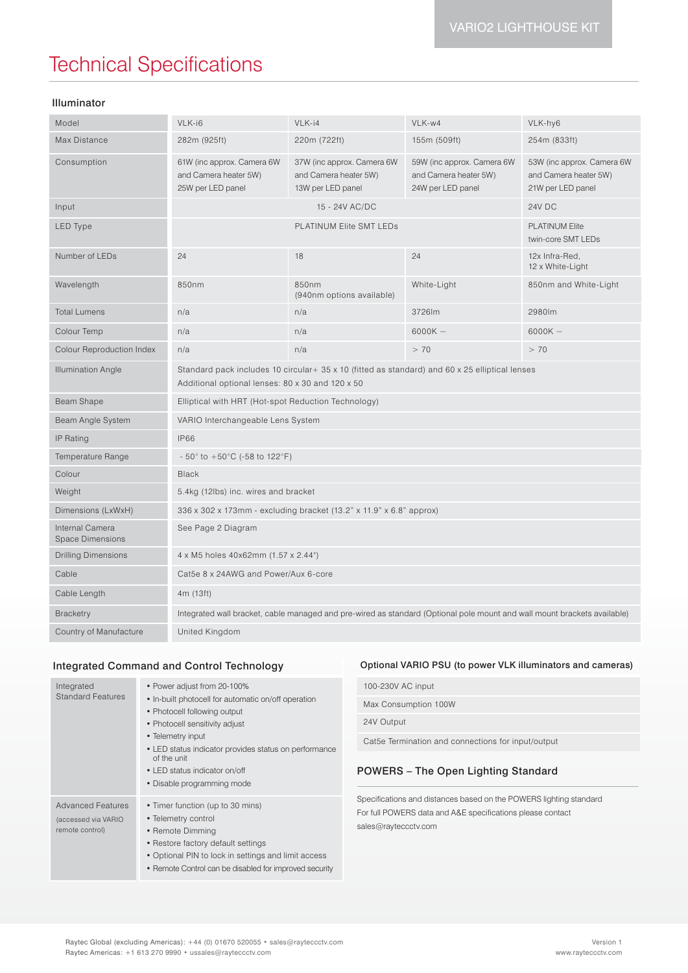# Technical Specifications

### Illuminator

| Model                                      | VLK-i6                                                                                                                                             | VLK-i4                                                                   | VLK-w4                                                                   | VLK-hy6                                                                  |
|--------------------------------------------|----------------------------------------------------------------------------------------------------------------------------------------------------|--------------------------------------------------------------------------|--------------------------------------------------------------------------|--------------------------------------------------------------------------|
| Max Distance                               | 282m (925ft)                                                                                                                                       | 220m (722ft)                                                             | 155m (509ft)                                                             | 254m (833ft)                                                             |
| Consumption                                | 61W (inc approx. Camera 6W<br>and Camera heater 5W)<br>25W per LED panel                                                                           | 37W (inc approx. Camera 6W<br>and Camera heater 5W)<br>13W per LED panel | 59W (inc approx. Camera 6W<br>and Camera heater 5W)<br>24W per LED panel | 53W (inc approx. Camera 6W<br>and Camera heater 5W)<br>21W per LED panel |
| Input                                      | 15 - 24V AC/DC                                                                                                                                     |                                                                          |                                                                          | 24V DC                                                                   |
| <b>LED Type</b>                            | <b>PLATINUM Elite SMT LEDs</b>                                                                                                                     |                                                                          | <b>PLATINUM Elite</b><br>twin-core SMT LEDs                              |                                                                          |
| Number of LEDs                             | 24                                                                                                                                                 | 18                                                                       | 24                                                                       | 12x Infra-Red,<br>12 x White-Light                                       |
| Wavelength                                 | 850nm                                                                                                                                              | 850nm<br>(940nm options available)                                       | White-Light                                                              | 850nm and White-Light                                                    |
| <b>Total Lumens</b>                        | n/a                                                                                                                                                | n/a                                                                      | 3726lm                                                                   | 2980lm                                                                   |
| Colour Temp                                | n/a                                                                                                                                                | n/a                                                                      | 6000K $\sim$                                                             | 6000K $\sim$                                                             |
| Colour Reproduction Index                  | n/a                                                                                                                                                | n/a                                                                      | > 70                                                                     | > 70                                                                     |
| <b>Illumination Angle</b>                  | Standard pack includes 10 circular+ 35 x 10 (fitted as standard) and 60 x 25 elliptical lenses<br>Additional optional lenses: 80 x 30 and 120 x 50 |                                                                          |                                                                          |                                                                          |
| <b>Beam Shape</b>                          | Elliptical with HRT (Hot-spot Reduction Technology)                                                                                                |                                                                          |                                                                          |                                                                          |
| Beam Angle System                          | VARIO Interchangeable Lens System                                                                                                                  |                                                                          |                                                                          |                                                                          |
| IP Rating                                  | <b>IP66</b>                                                                                                                                        |                                                                          |                                                                          |                                                                          |
| Temperature Range                          | $-50^{\circ}$ to $+50^{\circ}$ C (-58 to 122°F)                                                                                                    |                                                                          |                                                                          |                                                                          |
| Colour                                     | <b>Black</b>                                                                                                                                       |                                                                          |                                                                          |                                                                          |
| Weight                                     | 5.4kg (12lbs) inc. wires and bracket                                                                                                               |                                                                          |                                                                          |                                                                          |
| Dimensions (LxWxH)                         | 336 x 302 x 173mm - excluding bracket (13.2" x 11.9" x 6.8" approx)                                                                                |                                                                          |                                                                          |                                                                          |
| Internal Camera<br><b>Space Dimensions</b> | See Page 2 Diagram                                                                                                                                 |                                                                          |                                                                          |                                                                          |
| <b>Drilling Dimensions</b>                 | 4 x M5 holes 40x62mm (1.57 x 2.44")                                                                                                                |                                                                          |                                                                          |                                                                          |
| Cable                                      | Cat5e 8 x 24AWG and Power/Aux 6-core                                                                                                               |                                                                          |                                                                          |                                                                          |
| Cable Length                               | 4m (13ft)                                                                                                                                          |                                                                          |                                                                          |                                                                          |
| <b>Bracketry</b>                           | Integrated wall bracket, cable managed and pre-wired as standard (Optional pole mount and wall mount brackets available)                           |                                                                          |                                                                          |                                                                          |
| Country of Manufacture                     | United Kingdom                                                                                                                                     |                                                                          |                                                                          |                                                                          |

### Integrated Command and Control Technology

| Integrated<br><b>Standard Features</b>                             | • Power adjust from 20-100%<br>• In-built photocell for automatic on/off operation<br>• Photocell following output<br>• Photocell sensitivity adjust<br>• Telemetry input<br>• LED status indicator provides status on performance<br>of the unit<br>• LED status indicator on/off<br>• Disable programming mode | 100-230V AC input                                                                                                                                        |
|--------------------------------------------------------------------|------------------------------------------------------------------------------------------------------------------------------------------------------------------------------------------------------------------------------------------------------------------------------------------------------------------|----------------------------------------------------------------------------------------------------------------------------------------------------------|
|                                                                    |                                                                                                                                                                                                                                                                                                                  | Max Consumption 100W                                                                                                                                     |
|                                                                    |                                                                                                                                                                                                                                                                                                                  | 24V Output                                                                                                                                               |
|                                                                    |                                                                                                                                                                                                                                                                                                                  | Cat5e Termination and connections for input/output                                                                                                       |
|                                                                    |                                                                                                                                                                                                                                                                                                                  | <b>POWERS</b> – The Open Lighting Standard                                                                                                               |
| <b>Advanced Features</b><br>(accessed via VARIO<br>remote control) | • Timer function (up to 30 mins)<br>• Telemetry control<br>• Remote Dimming<br>• Restore factory default settings<br>• Optional PIN to lock in settings and limit access<br>• Remote Control can be disabled for improved security                                                                               | Specifications and distances based on the POWERS lighting standard<br>For full POWERS data and A&E specifications please contact<br>sales@rayteccctv.com |

Optional VARIO PSU (to power VLK illuminators and cameras)